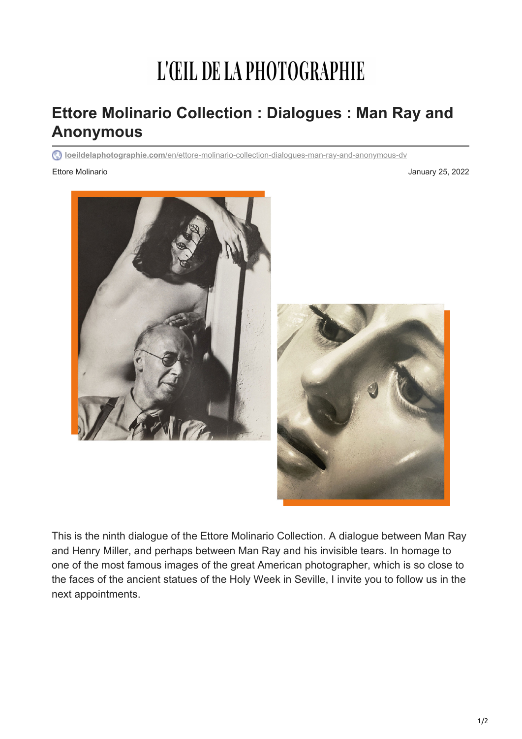## L'ŒIL DE LA PHOTOGRAPHIE

## **Ettore Molinario Collection : Dialogues : Man Ray and Anonymous**

**loeildelaphotographie.com**[/en/ettore-molinario-collection-dialogues-man-ray-and-anonymous-dv](https://loeildelaphotographie.com/en/ettore-molinario-collection-dialogues-man-ray-and-anonymous-dv/?utm_source=Liste+ODLP+nouvelle+version&utm_campaign=9c659dddd4-Edition+of+January+25+2022&utm_medium=email&utm_term=0_27b3627ade-9c659dddd4-%5BLIST_EMAIL_ID%5D&ct=t(Newsletter+EN+01252022))

## Ettore Molinario **Accessories and Access 2022** January 25, 2022





This is the ninth dialogue of the Ettore Molinario Collection. A dialogue between Man Ray and Henry Miller, and perhaps between Man Ray and his invisible tears. In homage to one of the most famous images of the great American photographer, which is so close to the faces of the ancient statues of the Holy Week in Seville, I invite you to follow us in the next appointments.